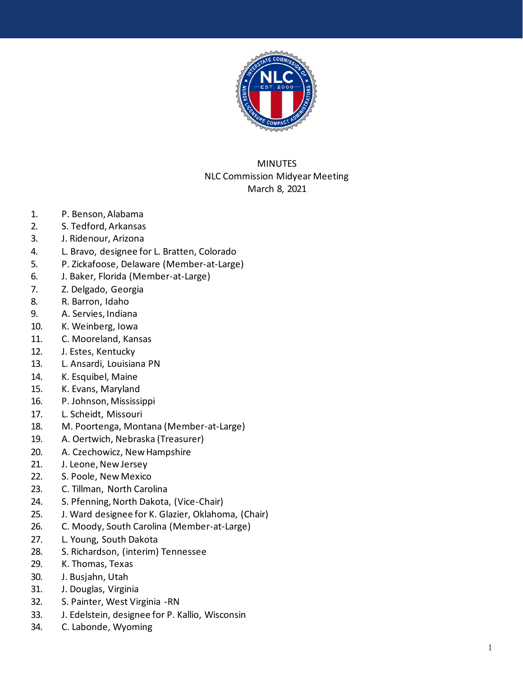

## MINUTES NLC Commission Midyear Meeting March 8, 2021

- 1. P. Benson, Alabama
- 2. S. Tedford, Arkansas
- 3. J. Ridenour, Arizona
- 4. L. Bravo, designee for L. Bratten, Colorado
- 5. P. Zickafoose, Delaware (Member -at -Large)
- 6. J. Baker, Florida (Member -at -Large)
- 7. Z. Delgado, Georgia
- 8. R. Barron, Idaho
- 9. A. Servies, Indiana
- 10. K. Weinberg, Iowa
- 11. C. Mooreland, Kansas
- 12. J. Estes, Kentucky
- 13. L. Ansardi, Louisiana PN
- 14. K. Esquibel, Maine
- 15. K. Evans, Maryland
- 16. P. Johnson, Mississippi
- 17. L. Scheidt, Missouri
- 18. M. Poortenga, Montana (Member -at -Large)
- 19. A. Oertwich, Nebraska (Treasurer)
- 20. A. Cze chowicz, New Hampshire
- 2 1 . J. Leone, New Jersey
- 2 2 . S. Poole, New Mexico
- 2 3 . C. Tillma n, North Carolina
- 2 4 . S. Pfenning, North Dakota, (Vice -Chair)
- 2 5 . J. Ward designee for K. Glazier, Oklahoma, (Chair)
- 2 6 . C. Moody, South Carolina (Member -at -Large)
- 2 7 . L. Young, South Dakota
- 2 8 . S. Richardson, (interim) Tennessee
- 2 9 . K. Thomas, Texas
- 30 . J. Busjahn, Utah
- 3 1 . J. Douglas, Virginia
- 3 2 . S. Painter, West Virginia -RN
- 3 3 . J. Edelstein, designee for P. Kallio, Wisconsin
- 3 4 . C. Labonde, Wyoming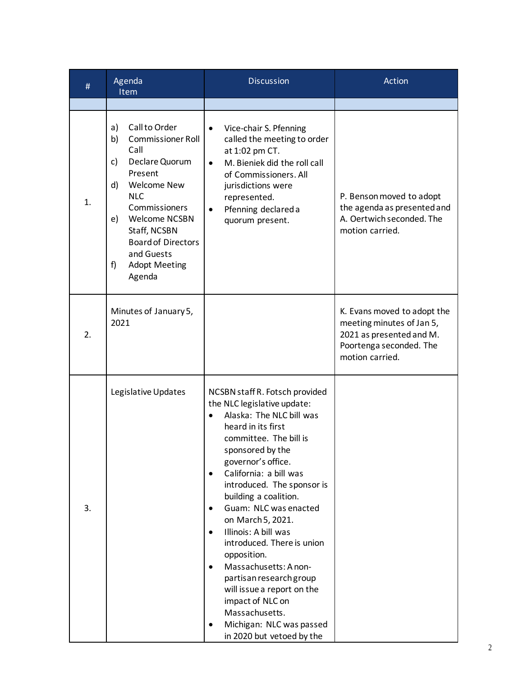| #  | Agenda<br>Item                                                                                                                                                                                                                                                                               | <b>Discussion</b>                                                                                                                                                                                                                                                                                                                                                                                                                                                                                                                                                                                                                 | Action                                                                                                                             |
|----|----------------------------------------------------------------------------------------------------------------------------------------------------------------------------------------------------------------------------------------------------------------------------------------------|-----------------------------------------------------------------------------------------------------------------------------------------------------------------------------------------------------------------------------------------------------------------------------------------------------------------------------------------------------------------------------------------------------------------------------------------------------------------------------------------------------------------------------------------------------------------------------------------------------------------------------------|------------------------------------------------------------------------------------------------------------------------------------|
|    |                                                                                                                                                                                                                                                                                              |                                                                                                                                                                                                                                                                                                                                                                                                                                                                                                                                                                                                                                   |                                                                                                                                    |
| 1. | Call to Order<br>a)<br><b>Commissioner Roll</b><br>b)<br>Call<br>Declare Quorum<br>c)<br>Present<br><b>Welcome New</b><br>d)<br><b>NLC</b><br>Commissioners<br><b>Welcome NCSBN</b><br>e)<br>Staff, NCSBN<br><b>Board of Directors</b><br>and Guests<br>f)<br><b>Adopt Meeting</b><br>Agenda | Vice-chair S. Pfenning<br>$\bullet$<br>called the meeting to order<br>at 1:02 pm CT.<br>M. Bieniek did the roll call<br>$\bullet$<br>of Commissioners. All<br>jurisdictions were<br>represented.<br>Pfenning declared a<br>$\bullet$<br>quorum present.                                                                                                                                                                                                                                                                                                                                                                           | P. Benson moved to adopt<br>the agenda as presented and<br>A. Oertwich seconded. The<br>motion carried.                            |
| 2. | Minutes of January 5,<br>2021                                                                                                                                                                                                                                                                |                                                                                                                                                                                                                                                                                                                                                                                                                                                                                                                                                                                                                                   | K. Evans moved to adopt the<br>meeting minutes of Jan 5,<br>2021 as presented and M.<br>Poortenga seconded. The<br>motion carried. |
| 3. | Legislative Updates                                                                                                                                                                                                                                                                          | NCSBN staff R. Fotsch provided<br>the NLC legislative update:<br>Alaska: The NLC bill was<br>heard in its first<br>committee. The bill is<br>sponsored by the<br>governor's office.<br>California: a bill was<br>$\bullet$<br>introduced. The sponsor is<br>building a coalition.<br>Guam: NLC was enacted<br>٠<br>on March 5, 2021.<br>Illinois: A bill was<br>$\bullet$<br>introduced. There is union<br>opposition.<br>Massachusetts: A non-<br>$\bullet$<br>partisan research group<br>will issue a report on the<br>impact of NLC on<br>Massachusetts.<br>Michigan: NLC was passed<br>$\bullet$<br>in 2020 but vetoed by the |                                                                                                                                    |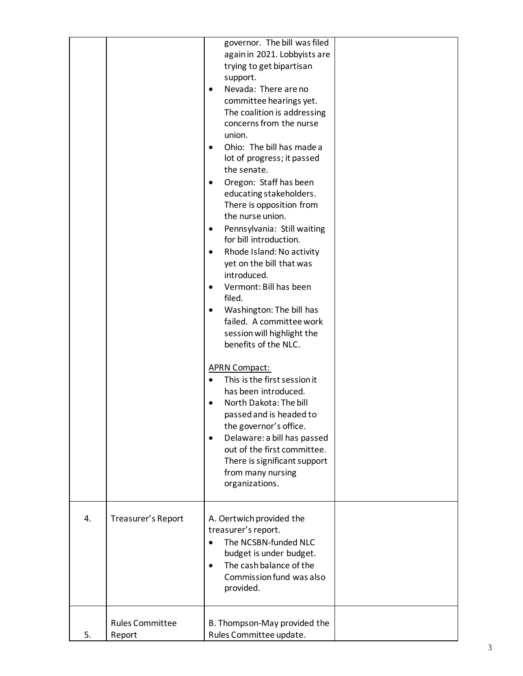|    |                        | again in 2021. Lobbyists are<br>trying to get bipartisan<br>support.<br>Nevada: There are no<br>٠<br>committee hearings yet.<br>The coalition is addressing<br>concerns from the nurse<br>union.<br>Ohio: The bill has made a<br>$\bullet$<br>lot of progress; it passed<br>the senate.<br>Oregon: Staff has been<br>educating stakeholders.<br>There is opposition from<br>the nurse union.<br>Pennsylvania: Still waiting<br>٠<br>for bill introduction.<br>Rhode Island: No activity<br>٠<br>yet on the bill that was<br>introduced.<br>Vermont: Bill has been<br>$\bullet$<br>filed.<br>Washington: The bill has<br>$\bullet$<br>failed. A committee work<br>session will highlight the<br>benefits of the NLC.<br><b>APRN Compact:</b><br>This is the first session it<br>has been introduced.<br>North Dakota: The bill<br>passed and is headed to<br>the governor's office.<br>Delaware: a bill has passed<br>$\bullet$<br>out of the first committee.<br>There is significant support<br>from many nursing<br>organizations. |  |
|----|------------------------|--------------------------------------------------------------------------------------------------------------------------------------------------------------------------------------------------------------------------------------------------------------------------------------------------------------------------------------------------------------------------------------------------------------------------------------------------------------------------------------------------------------------------------------------------------------------------------------------------------------------------------------------------------------------------------------------------------------------------------------------------------------------------------------------------------------------------------------------------------------------------------------------------------------------------------------------------------------------------------------------------------------------------------------|--|
| 4. | Treasurer's Report     | A. Oertwich provided the<br>treasurer's report.<br>The NCSBN-funded NLC<br>budget is under budget.<br>The cash balance of the<br>$\bullet$<br>Commission fund was also<br>provided.                                                                                                                                                                                                                                                                                                                                                                                                                                                                                                                                                                                                                                                                                                                                                                                                                                                  |  |
|    | <b>Rules Committee</b> | B. Thompson-May provided the                                                                                                                                                                                                                                                                                                                                                                                                                                                                                                                                                                                                                                                                                                                                                                                                                                                                                                                                                                                                         |  |
| 5. | Report                 | Rules Committee update.                                                                                                                                                                                                                                                                                                                                                                                                                                                                                                                                                                                                                                                                                                                                                                                                                                                                                                                                                                                                              |  |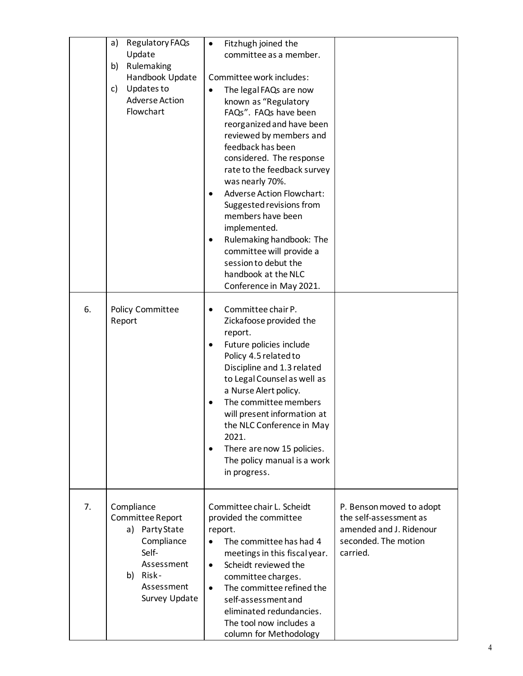|    | Regulatory FAQs<br>a)               | Fitzhugh joined the<br>$\bullet$                        |                          |
|----|-------------------------------------|---------------------------------------------------------|--------------------------|
|    | Update                              | committee as a member.                                  |                          |
|    | Rulemaking<br>b)<br>Handbook Update | Committee work includes:                                |                          |
|    | Updates to<br>c)                    | The legal FAQs are now<br>$\bullet$                     |                          |
|    | <b>Adverse Action</b>               | known as "Regulatory                                    |                          |
|    | Flowchart                           | FAQs". FAQs have been                                   |                          |
|    |                                     | reorganized and have been                               |                          |
|    |                                     | reviewed by members and                                 |                          |
|    |                                     | feedback has been                                       |                          |
|    |                                     | considered. The response                                |                          |
|    |                                     | rate to the feedback survey                             |                          |
|    |                                     | was nearly 70%.<br><b>Adverse Action Flowchart:</b>     |                          |
|    |                                     | $\bullet$<br>Suggested revisions from                   |                          |
|    |                                     | members have been                                       |                          |
|    |                                     | implemented.                                            |                          |
|    |                                     | Rulemaking handbook: The<br>$\bullet$                   |                          |
|    |                                     | committee will provide a                                |                          |
|    |                                     | session to debut the                                    |                          |
|    |                                     | handbook at the NLC                                     |                          |
|    |                                     | Conference in May 2021.                                 |                          |
| 6. | Policy Committee                    | Committee chair P.<br>$\bullet$                         |                          |
|    | Report                              | Zickafoose provided the                                 |                          |
|    |                                     | report.                                                 |                          |
|    |                                     | Future policies include<br>$\bullet$                    |                          |
|    |                                     | Policy 4.5 related to                                   |                          |
|    |                                     | Discipline and 1.3 related                              |                          |
|    |                                     | to Legal Counsel as well as<br>a Nurse Alert policy.    |                          |
|    |                                     | The committee members                                   |                          |
|    |                                     | will present information at                             |                          |
|    |                                     | the NLC Conference in May                               |                          |
|    |                                     | 2021.                                                   |                          |
|    |                                     | There are now 15 policies.<br>٠                         |                          |
|    |                                     | The policy manual is a work                             |                          |
|    |                                     | in progress.                                            |                          |
|    |                                     |                                                         |                          |
| 7. | Compliance                          | Committee chair L. Scheidt                              | P. Benson moved to adopt |
|    | Committee Report                    | provided the committee                                  | the self-assessment as   |
|    | a) Party State                      | report.                                                 | amended and J. Ridenour  |
|    | Compliance                          | The committee has had 4                                 | seconded. The motion     |
|    | Self-<br>Assessment                 | meetings in this fiscal year.                           | carried.                 |
|    | Risk-<br>b)                         | Scheidt reviewed the<br>$\bullet$<br>committee charges. |                          |
|    | Assessment                          | The committee refined the<br>$\bullet$                  |                          |
|    | Survey Update                       | self-assessment and                                     |                          |
|    |                                     | eliminated redundancies.                                |                          |
|    |                                     | The tool now includes a                                 |                          |
|    |                                     | column for Methodology                                  |                          |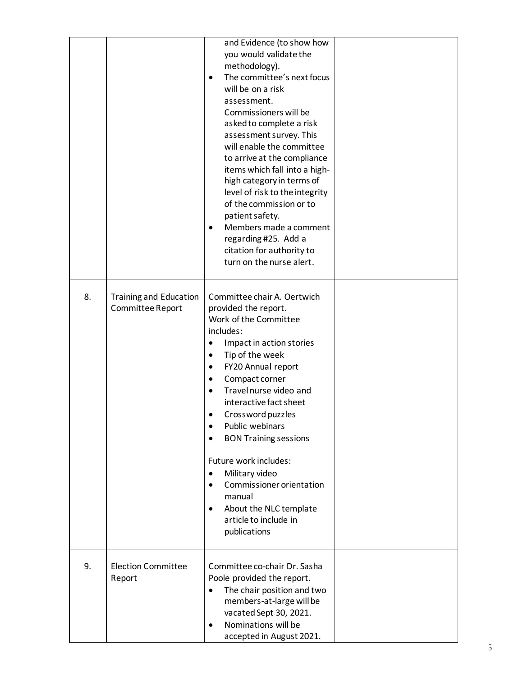|    |                                                   | and Evidence (to show how<br>you would validate the<br>methodology).<br>The committee's next focus<br>$\bullet$<br>will be on a risk<br>assessment.<br>Commissioners will be<br>asked to complete a risk<br>assessment survey. This<br>will enable the committee<br>to arrive at the compliance<br>items which fall into a high-<br>high category in terms of<br>level of risk to the integrity<br>of the commission or to<br>patient safety.<br>Members made a comment<br>$\bullet$<br>regarding #25. Add a<br>citation for authority to<br>turn on the nurse alert. |  |
|----|---------------------------------------------------|-----------------------------------------------------------------------------------------------------------------------------------------------------------------------------------------------------------------------------------------------------------------------------------------------------------------------------------------------------------------------------------------------------------------------------------------------------------------------------------------------------------------------------------------------------------------------|--|
| 8. | <b>Training and Education</b><br>Committee Report | Committee chair A. Oertwich<br>provided the report.<br>Work of the Committee<br>includes:<br>Impact in action stories<br>Tip of the week<br>٠<br>FY20 Annual report<br>٠<br>Compact corner<br>$\bullet$<br>Travel nurse video and<br>$\bullet$<br>interactive fact sheet<br>Crossword puzzles<br>Public webinars<br>٠<br><b>BON Training sessions</b><br>Future work includes:<br>Military video<br>$\bullet$<br>Commissioner orientation<br>٠<br>manual<br>About the NLC template<br>$\bullet$<br>article to include in<br>publications                              |  |
| 9. | <b>Election Committee</b><br>Report               | Committee co-chair Dr. Sasha<br>Poole provided the report.<br>The chair position and two<br>$\bullet$<br>members-at-large will be<br>vacated Sept 30, 2021.<br>Nominations will be<br>accepted in August 2021.                                                                                                                                                                                                                                                                                                                                                        |  |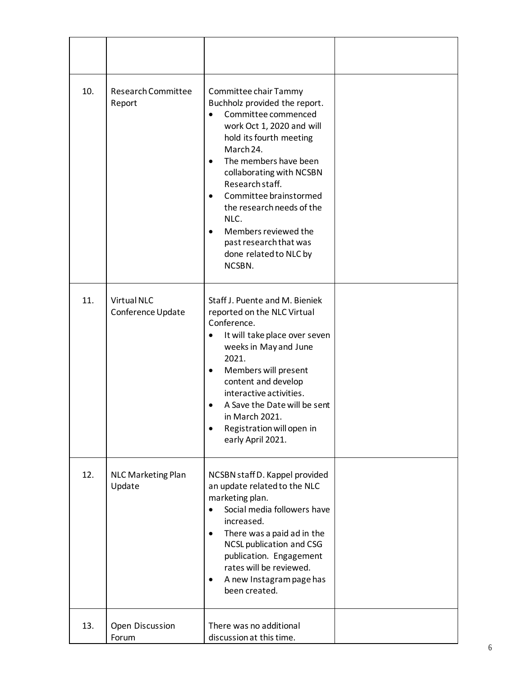| 10. | Research Committee<br>Report        | Committee chair Tammy<br>Buchholz provided the report.<br>Committee commenced<br>work Oct 1, 2020 and will<br>hold its fourth meeting<br>March 24.<br>The members have been<br>$\bullet$<br>collaborating with NCSBN<br>Research staff.<br>Committee brainstormed<br>$\bullet$<br>the research needs of the<br>NLC.<br>Members reviewed the<br>past research that was<br>done related to NLC by<br>NCSBN. |  |
|-----|-------------------------------------|-----------------------------------------------------------------------------------------------------------------------------------------------------------------------------------------------------------------------------------------------------------------------------------------------------------------------------------------------------------------------------------------------------------|--|
| 11. | Virtual NLC<br>Conference Update    | Staff J. Puente and M. Bieniek<br>reported on the NLC Virtual<br>Conference.<br>It will take place over seven<br>weeks in May and June<br>2021.<br>Members will present<br>٠<br>content and develop<br>interactive activities.<br>A Save the Date will be sent<br>in March 2021.<br>Registration will open in<br>early April 2021.                                                                        |  |
| 12. | <b>NLC Marketing Plan</b><br>Update | NCSBN staff D. Kappel provided<br>an update related to the NLC<br>marketing plan.<br>Social media followers have<br>$\bullet$<br>increased.<br>There was a paid ad in the<br>$\bullet$<br>NCSL publication and CSG<br>publication. Engagement<br>rates will be reviewed.<br>A new Instagram page has<br>been created.                                                                                     |  |
| 13. | Open Discussion<br>Forum            | There was no additional<br>discussion at this time.                                                                                                                                                                                                                                                                                                                                                       |  |